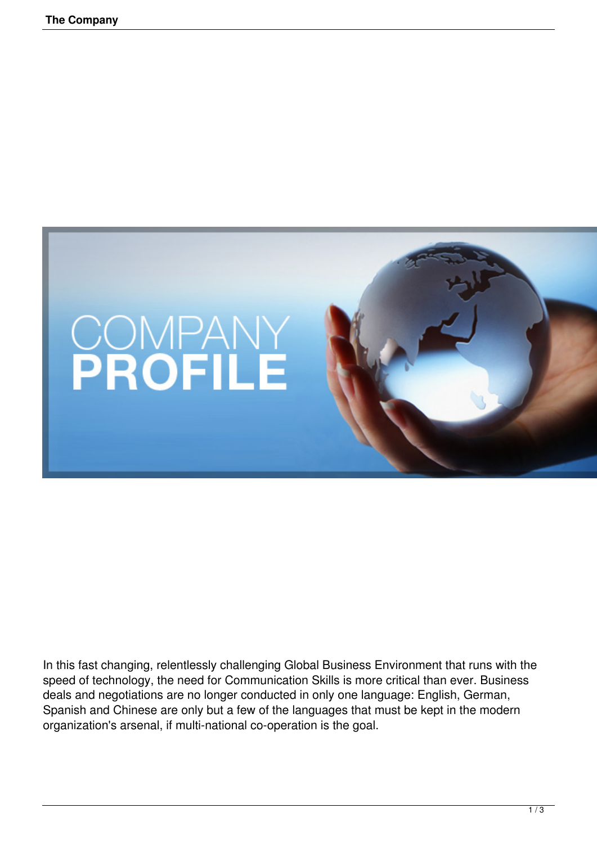

In this fast changing, relentlessly challenging Global Business Environment that runs with the speed of technology, the need for Communication Skills is more critical than ever. Business deals and negotiations are no longer conducted in only one language: English, German, Spanish and Chinese are only but a few of the languages that must be kept in the modern organization's arsenal, if multi-national co-operation is the goal.